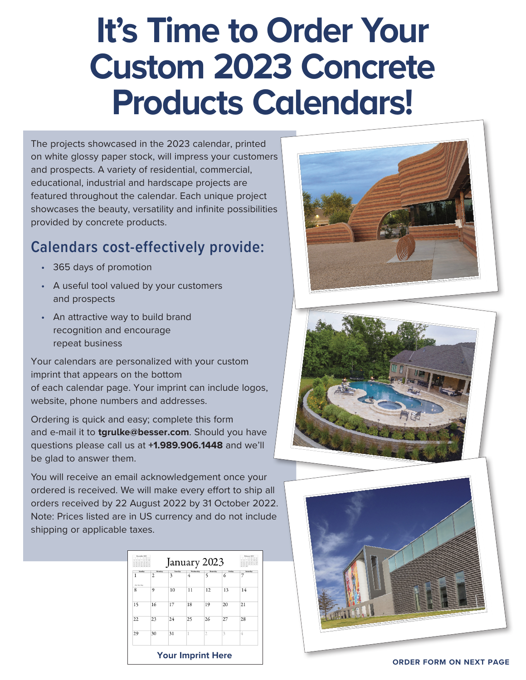## **It's Time to Order Your Custom 2023 Concrete Products Calendars!**

The projects showcased in the 2023 calendar, printed on white glossy paper stock, will impress your customers and prospects. A variety of residential, commercial, educational, industrial and hardscape projects are featured throughout the calendar. Each unique project showcases the beauty, versatility and infinite possibilities provided by concrete products.

## **Calendars cost-effectively provide:**

- 365 days of promotion
- A useful tool valued by your customers and prospects
- An attractive way to build brand recognition and encourage repeat business

Your calendars are personalized with your custom imprint that appears on the bottom of each calendar page. Your imprint can include logos, website, phone numbers and addresses.

Ordering is quick and easy; complete this form and e-mail it to **tgrulke@besser.com**. Should you have questions please call us at **+1.989.906.1448** and we'll be glad to answer them.

You will receive an email acknowledgement once your ordered is received. We will make every effort to ship all orders received by 22 August 2022 by 31 October 2022. Note: Prices listed are in US currency and do not include shipping or applicable taxes.

| Seandar<br>1 | Mendan<br>$\overline{2}$ | Tuesday<br>3 | Wednesday<br>4 | Thursday<br>5  | Friday<br>6 | Saturday<br>7 |
|--------------|--------------------------|--------------|----------------|----------------|-------------|---------------|
| New Earl Day |                          |              |                |                |             |               |
| 8            | 9                        | 10           | 11             | 12             | 13          | 14            |
| 15           | 16                       | 17           | 18             | 19             | 20          | 21            |
| 22           | 23                       | 24           | 25             | 26             | 27          | 28            |
| 29           | 30                       | 31           | 1              | $\overline{2}$ | 3           | 4             |